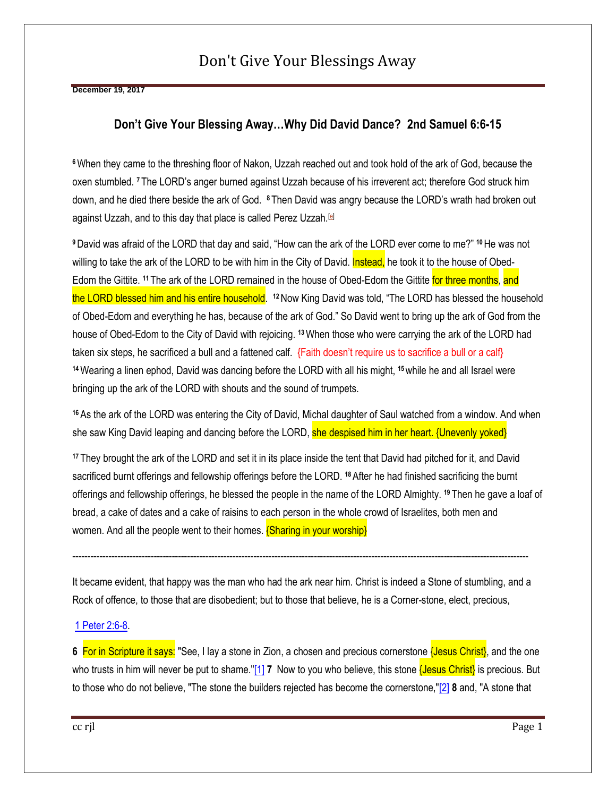# Don't Give Your Blessings Away

**December 19, 2017** 

### **Don't Give Your Blessing Away…Why Did David Dance? 2nd Samuel 6:6-15**

**<sup>6</sup>**When they came to the threshing floor of Nakon, Uzzah reached out and took hold of the ark of God, because the oxen stumbled. **<sup>7</sup>** The LORD's anger burned against Uzzah because of his irreverent act; therefore God struck him down, and he died there beside the ark of God. **<sup>8</sup>** Then David was angry because the LORD's wrath had broken out against Uzzah, and to this day that place is called Perez Uzzah.[\[e\]](https://www.biblegateway.com/passage/?search=2%20Samuel%206#fen-NIV-8166e)

**<sup>9</sup>**David was afraid of the LORD that day and said, "How can the ark of the LORD ever come to me?" **<sup>10</sup>**He was not willing to take the ark of the LORD to be with him in the City of David. Instead, he took it to the house of Obed-Edom the Gittite. **<sup>11</sup>** The ark of the LORD remained in the house of Obed-Edom the Gittite for three months, and the LORD blessed him and his entire household. <sup>12</sup> Now King David was told, "The LORD has blessed the household of Obed-Edom and everything he has, because of the ark of God." So David went to bring up the ark of God from the house of Obed-Edom to the City of David with rejoicing. **<sup>13</sup>**When those who were carrying the ark of the LORD had taken six steps, he sacrificed a bull and a fattened calf. {Faith doesn't require us to sacrifice a bull or a calf} **<sup>14</sup>**Wearing a linen ephod, David was dancing before the LORD with all his might, **<sup>15</sup>**while he and all Israel were bringing up the ark of the LORD with shouts and the sound of trumpets.

**<sup>16</sup>** As the ark of the LORD was entering the City of David, Michal daughter of Saul watched from a window. And when she saw King David leaping and dancing before the LORD, she despised him in her heart. {Unevenly yoked}

**<sup>17</sup>** They brought the ark of the LORD and set it in its place inside the tent that David had pitched for it, and David sacrificed burnt offerings and fellowship offerings before the LORD. <sup>18</sup> After he had finished sacrificing the burnt offerings and fellowship offerings, he blessed the people in the name of the LORD Almighty. **<sup>19</sup>** Then he gave a loaf of bread, a cake of dates and a cake of raisins to each person in the whole crowd of Israelites, both men and women. And all the people went to their homes. **{Sharing in your worship}** 

It became evident, that happy was the man who had the ark near him. Christ is indeed a Stone of stumbling, and a Rock of offence, to those that are disobedient; but to those that believe, he is a Corner-stone, elect, precious,

-------------------------------------------------------------------------------------------------------------------------------------------------------

#### [1 Peter 2:6-8.](https://www.christianity.com/bible/bible.php?q=1+Peter+2%3A6%2D8)

**6** For in Scripture it says: "See, I lay a stone in Zion, a chosen and precious cornerstone {Jesus Christ}, and the one who trusts in him will never be put to shame.["\[1\]](https://www.christianity.com/bible/bible.php?q=1+Peter+2%3A6%2D8#f1) 7 Now to you who believe, this stone **{Jesus Christ}** is precious. But to those who do not believe, "The stone the builders rejected has become the cornerstone,["\[2\]](https://www.christianity.com/bible/bible.php?q=1+Peter+2%3A6%2D8#f2) **8** and, "A stone that